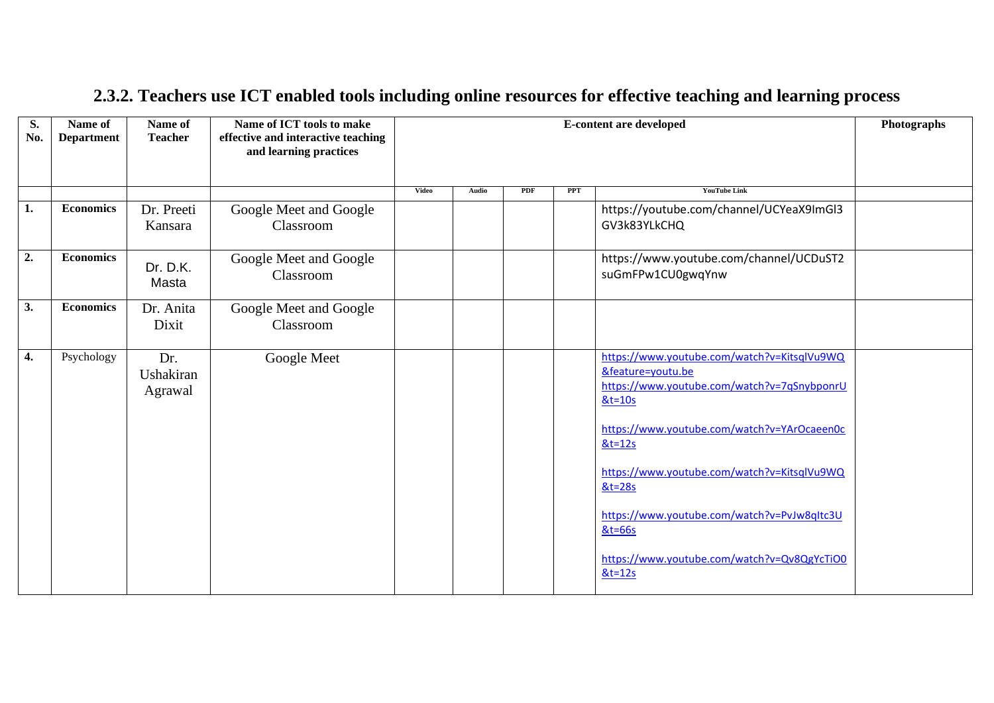| S.<br>No. | Name of<br><b>Department</b> | Name of<br><b>Teacher</b>   | Name of ICT tools to make<br>effective and interactive teaching<br>and learning practices |                                                                                                                                                                                                                                                                                                              |                                                              |     |            | <b>E-content are developed</b>                           | Photographs |
|-----------|------------------------------|-----------------------------|-------------------------------------------------------------------------------------------|--------------------------------------------------------------------------------------------------------------------------------------------------------------------------------------------------------------------------------------------------------------------------------------------------------------|--------------------------------------------------------------|-----|------------|----------------------------------------------------------|-------------|
|           |                              |                             |                                                                                           | <b>Video</b>                                                                                                                                                                                                                                                                                                 | Audio                                                        | PDF | <b>PPT</b> | <b>YouTube Link</b>                                      |             |
| 1.        | <b>Economics</b>             | Dr. Preeti<br>Kansara       | Google Meet and Google<br>Classroom                                                       |                                                                                                                                                                                                                                                                                                              |                                                              |     |            | https://youtube.com/channel/UCYeaX9ImGI3<br>GV3k83YLkCHQ |             |
| 2.        | <b>Economics</b>             | Dr. D.K.<br>Masta           | Google Meet and Google<br>Classroom                                                       |                                                                                                                                                                                                                                                                                                              | https://www.youtube.com/channel/UCDuST2<br>suGmFPw1CU0gwqYnw |     |            |                                                          |             |
| 3.        | <b>Economics</b>             | Dr. Anita<br>Dixit          | Google Meet and Google<br>Classroom                                                       |                                                                                                                                                                                                                                                                                                              |                                                              |     |            |                                                          |             |
| 4.        | Psychology                   | Dr.<br>Ushakiran<br>Agrawal | Google Meet                                                                               | https://www.youtube.com/watch?v=KitsqlVu9WQ<br>&feature=youtu.be<br>https://www.youtube.com/watch?v=7qSnybponrU<br>$&t=10s$<br>https://www.youtube.com/watch?v=YArOcaeen0c<br>$&t=12s$<br>https://www.youtube.com/watch?v=KitsqlVu9WQ<br>$&t=28s$<br>https://www.youtube.com/watch?v=PvJw8qItc3U<br>$&t=66s$ |                                                              |     |            |                                                          |             |
|           |                              |                             |                                                                                           |                                                                                                                                                                                                                                                                                                              |                                                              |     |            | https://www.youtube.com/watch?v=Qv8QgYcTiO0<br>$&t=12s$  |             |

## **2.3.2. Teachers use ICT enabled tools including online resources for effective teaching and learning process**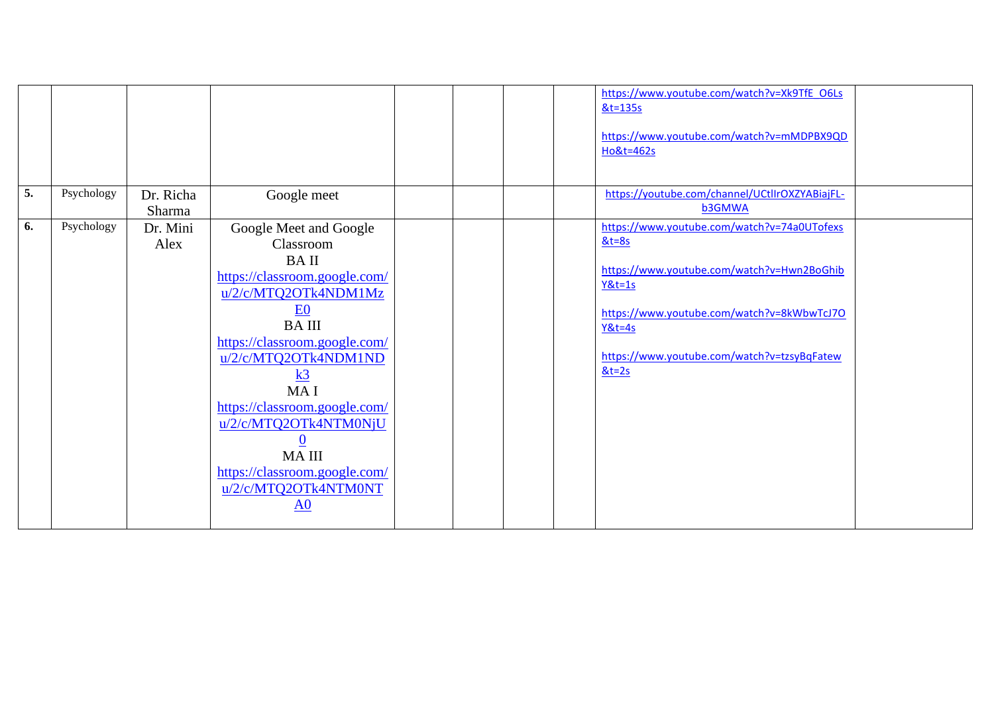|    |            |           |                               |  | https://www.youtube.com/watch?v=Xk9TfE_O6Ls    |  |
|----|------------|-----------|-------------------------------|--|------------------------------------------------|--|
|    |            |           |                               |  | &t=135s                                        |  |
|    |            |           |                               |  |                                                |  |
|    |            |           |                               |  | https://www.youtube.com/watch?v=mMDPBX9QD      |  |
|    |            |           |                               |  | Ho&t=462s                                      |  |
|    |            |           |                               |  |                                                |  |
|    |            |           |                               |  |                                                |  |
| 5. | Psychology | Dr. Richa | Google meet                   |  | https://youtube.com/channel/UCtlIrOXZYABiajFL- |  |
|    |            | Sharma    |                               |  | <b>b3GMWA</b>                                  |  |
| 6. | Psychology |           |                               |  | https://www.youtube.com/watch?v=74a0UTofexs    |  |
|    |            | Dr. Mini  | Google Meet and Google        |  |                                                |  |
|    |            | Alex      | Classroom                     |  | $&t=8s$                                        |  |
|    |            |           | <b>BAII</b>                   |  |                                                |  |
|    |            |           | https://classroom.google.com/ |  | https://www.youtube.com/watch?v=Hwn2BoGhib     |  |
|    |            |           | u/2/c/MTQ2OTk4NDM1Mz          |  | $Y&t=1s$                                       |  |
|    |            |           | E <sub>0</sub>                |  |                                                |  |
|    |            |           |                               |  | https://www.youtube.com/watch?v=8kWbwTcJ70     |  |
|    |            |           | <b>BAIII</b>                  |  | $Y&t=4s$                                       |  |
|    |            |           | https://classroom.google.com/ |  |                                                |  |
|    |            |           | u/2/c/MTQ2OTk4NDM1ND          |  | https://www.youtube.com/watch?v=tzsyBqFatew    |  |
|    |            |           | k3                            |  | $&t=2s$                                        |  |
|    |            |           | MA I                          |  |                                                |  |
|    |            |           | https://classroom.google.com/ |  |                                                |  |
|    |            |           | u/2/c/MTQ2OTk4NTM0NjU         |  |                                                |  |
|    |            |           | $\underline{0}$               |  |                                                |  |
|    |            |           | <b>MAIII</b>                  |  |                                                |  |
|    |            |           | https://classroom.google.com/ |  |                                                |  |
|    |            |           |                               |  |                                                |  |
|    |            |           | u/2/c/MTQ2OTk4NTM0NT          |  |                                                |  |
|    |            |           | A <sub>0</sub>                |  |                                                |  |
|    |            |           |                               |  |                                                |  |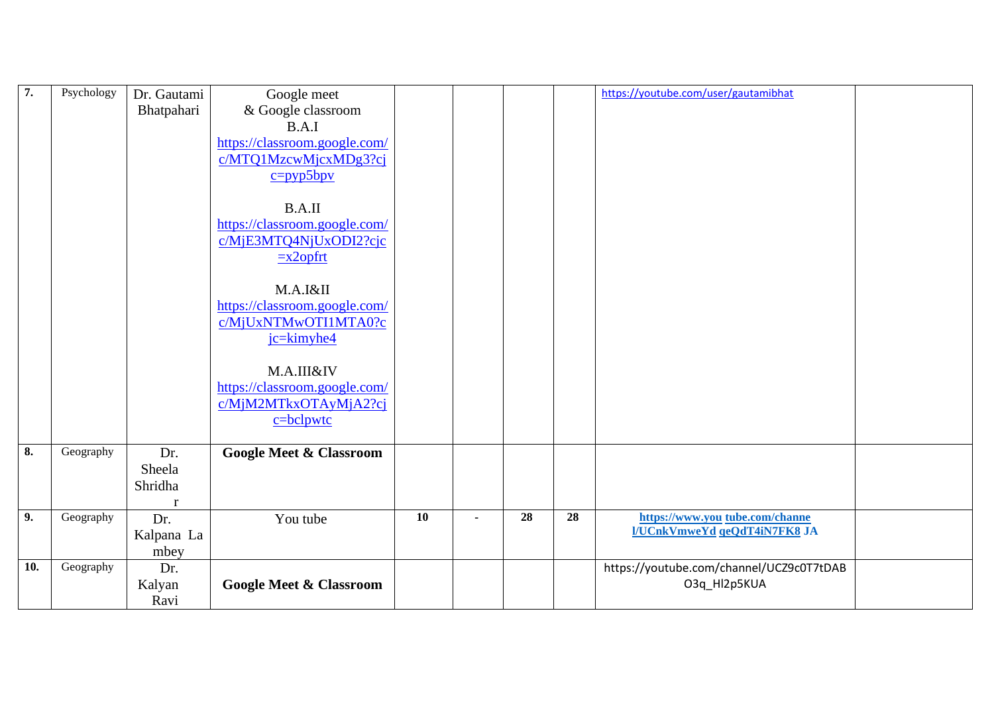| $\overline{7}$ . | Psychology | Dr. Gautami  | Google meet                        |                 |    |    | https://youtube.com/user/gautamibhat     |  |
|------------------|------------|--------------|------------------------------------|-----------------|----|----|------------------------------------------|--|
|                  |            | Bhatpahari   | & Google classroom                 |                 |    |    |                                          |  |
|                  |            |              | B.A.I                              |                 |    |    |                                          |  |
|                  |            |              | https://classroom.google.com/      |                 |    |    |                                          |  |
|                  |            |              | c/MTQ1MzcwMjcxMDg3?cj              |                 |    |    |                                          |  |
|                  |            |              | $c = pyp5bpv$                      |                 |    |    |                                          |  |
|                  |            |              |                                    |                 |    |    |                                          |  |
|                  |            |              | B.A.II                             |                 |    |    |                                          |  |
|                  |            |              | https://classroom.google.com/      |                 |    |    |                                          |  |
|                  |            |              | c/MjE3MTQ4NjUxODI2?cjc             |                 |    |    |                                          |  |
|                  |            |              | $\equiv$ x2opfrt                   |                 |    |    |                                          |  |
|                  |            |              |                                    |                 |    |    |                                          |  |
|                  |            |              | M.A.I&II                           |                 |    |    |                                          |  |
|                  |            |              | https://classroom.google.com/      |                 |    |    |                                          |  |
|                  |            |              | c/MjUxNTMwOTI1MTA0?c               |                 |    |    |                                          |  |
|                  |            |              | jc=kimyhe4                         |                 |    |    |                                          |  |
|                  |            |              |                                    |                 |    |    |                                          |  |
|                  |            |              | M.A.III&IV                         |                 |    |    |                                          |  |
|                  |            |              | https://classroom.google.com/      |                 |    |    |                                          |  |
|                  |            |              | c/MjM2MTkxOTAyMjA2?cj              |                 |    |    |                                          |  |
|                  |            |              | $c = b$ clpwtc                     |                 |    |    |                                          |  |
| 8.               | Geography  | Dr.          | <b>Google Meet &amp; Classroom</b> |                 |    |    |                                          |  |
|                  |            | Sheela       |                                    |                 |    |    |                                          |  |
|                  |            | Shridha      |                                    |                 |    |    |                                          |  |
|                  |            | $\mathbf{r}$ |                                    |                 |    |    |                                          |  |
| 9.               | Geography  | Dr.          | You tube                           | $\overline{10}$ | 28 | 28 | https://www.you tube.com/channe          |  |
|                  |            | Kalpana La   |                                    |                 |    |    | I/UCnkVmweYd qeQdT4iN7FK8 JA             |  |
|                  |            | mbey         |                                    |                 |    |    |                                          |  |
| 10.              | Geography  | Dr.          |                                    |                 |    |    | https://youtube.com/channel/UCZ9c0T7tDAB |  |
|                  |            | Kalyan       | <b>Google Meet &amp; Classroom</b> |                 |    |    | O3q_Hl2p5KUA                             |  |
|                  |            | Ravi         |                                    |                 |    |    |                                          |  |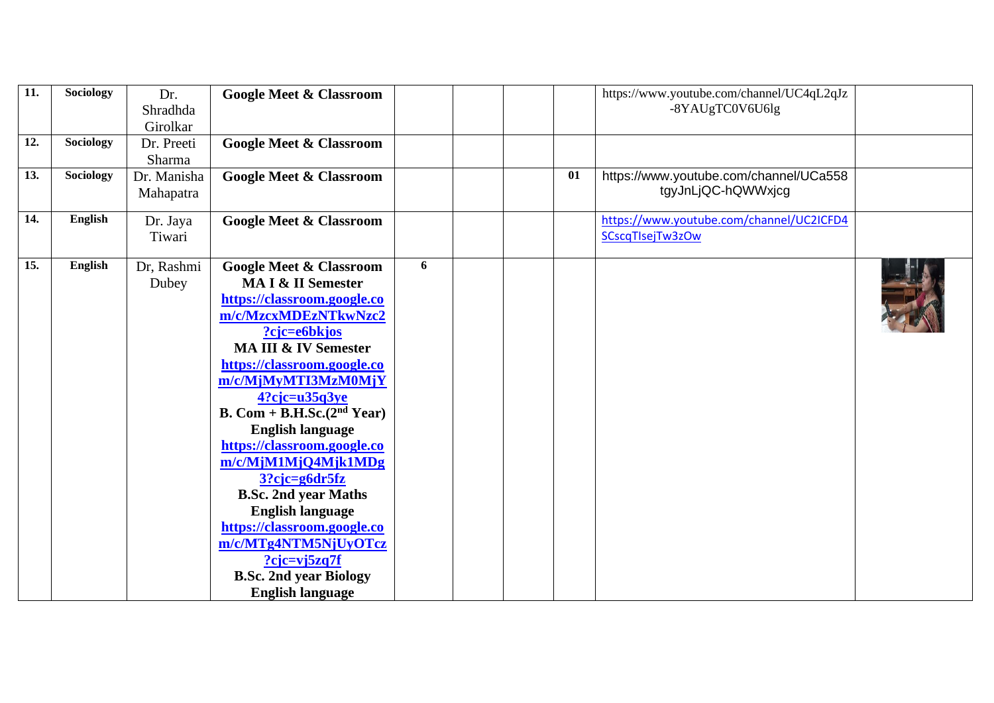| $\overline{11}$ . | <b>Sociology</b> | Dr.         | <b>Google Meet &amp; Classroom</b> |   |  |    | https://www.youtube.com/channel/UC4qL2qJz                    |  |
|-------------------|------------------|-------------|------------------------------------|---|--|----|--------------------------------------------------------------|--|
|                   |                  | Shradhda    |                                    |   |  |    | -8YAUgTC0V6U6lg                                              |  |
|                   |                  | Girolkar    |                                    |   |  |    |                                                              |  |
| 12.               | <b>Sociology</b> | Dr. Preeti  | <b>Google Meet &amp; Classroom</b> |   |  |    |                                                              |  |
|                   |                  | Sharma      |                                    |   |  |    |                                                              |  |
| 13.               | Sociology        | Dr. Manisha | <b>Google Meet &amp; Classroom</b> |   |  | 01 | https://www.youtube.com/channel/UCa558                       |  |
|                   |                  | Mahapatra   |                                    |   |  |    | tgyJnLjQC-hQWWxjcg                                           |  |
| 14.               | English          |             |                                    |   |  |    |                                                              |  |
|                   |                  | Dr. Jaya    | <b>Google Meet &amp; Classroom</b> |   |  |    | https://www.youtube.com/channel/UC2ICFD4<br>SCscqTlsejTw3zOw |  |
|                   |                  | Tiwari      |                                    |   |  |    |                                                              |  |
| 15.               | English          | Dr, Rashmi  | <b>Google Meet &amp; Classroom</b> | 6 |  |    |                                                              |  |
|                   |                  | Dubey       | MA I & II Semester                 |   |  |    |                                                              |  |
|                   |                  |             | https://classroom.google.co        |   |  |    |                                                              |  |
|                   |                  |             | m/c/MzcxMDEzNTkwNzc2               |   |  |    |                                                              |  |
|                   |                  |             | ?cjc=e6bkjos                       |   |  |    |                                                              |  |
|                   |                  |             | <b>MA III &amp; IV Semester</b>    |   |  |    |                                                              |  |
|                   |                  |             | https://classroom.google.co        |   |  |    |                                                              |  |
|                   |                  |             | m/c/MjMyMTI3MzM0MjY                |   |  |    |                                                              |  |
|                   |                  |             | $4?$ cjc=u $35q3ye$                |   |  |    |                                                              |  |
|                   |                  |             | B. Com + B.H.Sc. $(2nd Year)$      |   |  |    |                                                              |  |
|                   |                  |             | <b>English language</b>            |   |  |    |                                                              |  |
|                   |                  |             | https://classroom.google.co        |   |  |    |                                                              |  |
|                   |                  |             | m/c/MjM1MjQ4Mjk1MDg                |   |  |    |                                                              |  |
|                   |                  |             | $3?$ cjc=g6dr5fz                   |   |  |    |                                                              |  |
|                   |                  |             | <b>B.Sc. 2nd year Maths</b>        |   |  |    |                                                              |  |
|                   |                  |             | <b>English language</b>            |   |  |    |                                                              |  |
|                   |                  |             | https://classroom.google.co        |   |  |    |                                                              |  |
|                   |                  |             | m/c/MTg4NTM5NjUyOTcz               |   |  |    |                                                              |  |
|                   |                  |             | $?c$ jc=vj5zq7f                    |   |  |    |                                                              |  |
|                   |                  |             | <b>B.Sc. 2nd year Biology</b>      |   |  |    |                                                              |  |
|                   |                  |             | <b>English language</b>            |   |  |    |                                                              |  |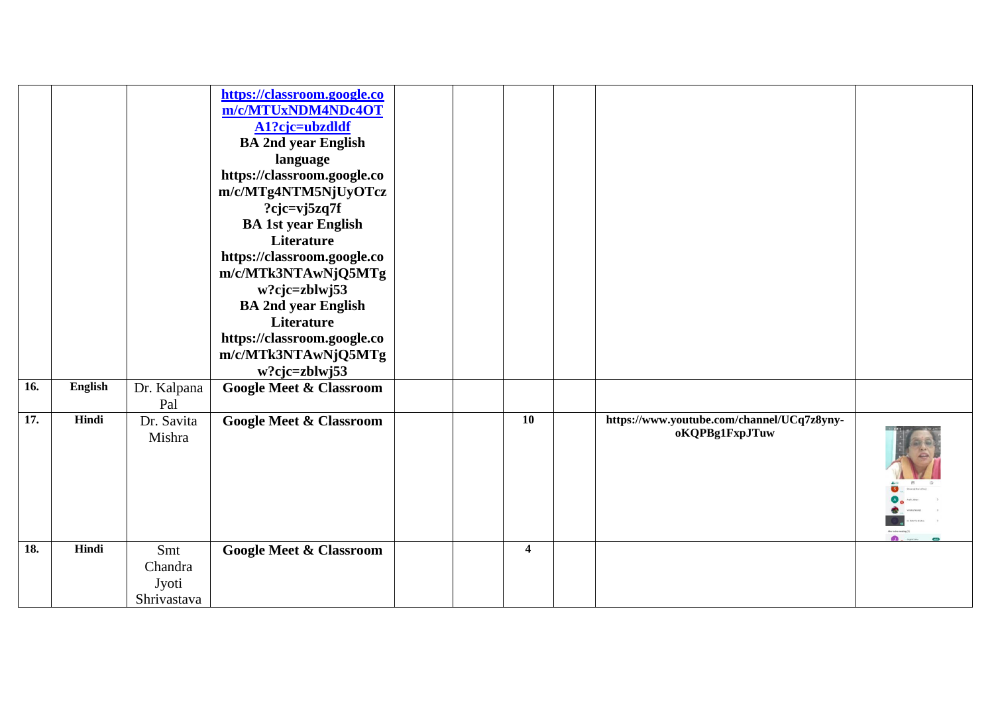|     |                |                                        | https://classroom.google.co<br>m/c/MTUxNDM4NDc4OT<br>A1?cjc=ubzdldf<br><b>BA 2nd year English</b><br>language<br>https://classroom.google.co<br>m/c/MTg4NTM5NjUyOTcz<br>? $c$ jc=vj5zq7f<br><b>BA 1st year English</b><br>Literature<br>https://classroom.google.co<br>m/c/MTk3NTAwNjQ5MTg<br>$w?$ cjc=zblwj53<br><b>BA 2nd year English</b><br>Literature<br>https://classroom.google.co<br>m/c/MTk3NTAwNjQ5MTg<br>w?cjc=zblwj53 |  |                         |                                                              |  |
|-----|----------------|----------------------------------------|-----------------------------------------------------------------------------------------------------------------------------------------------------------------------------------------------------------------------------------------------------------------------------------------------------------------------------------------------------------------------------------------------------------------------------------|--|-------------------------|--------------------------------------------------------------|--|
| 16. | <b>English</b> | Dr. Kalpana<br>Pal                     | <b>Google Meet &amp; Classroom</b>                                                                                                                                                                                                                                                                                                                                                                                                |  |                         |                                                              |  |
| 17. | Hindi          | Dr. Savita<br>Mishra                   | <b>Google Meet &amp; Classroom</b>                                                                                                                                                                                                                                                                                                                                                                                                |  | 10                      | https://www.youtube.com/channel/UCq7z8yny-<br>oKQPBg1FxpJTuw |  |
| 18. | Hindi          | Smt<br>Chandra<br>Jyoti<br>Shrivastava | <b>Google Meet &amp; Classroom</b>                                                                                                                                                                                                                                                                                                                                                                                                |  | $\overline{\mathbf{4}}$ |                                                              |  |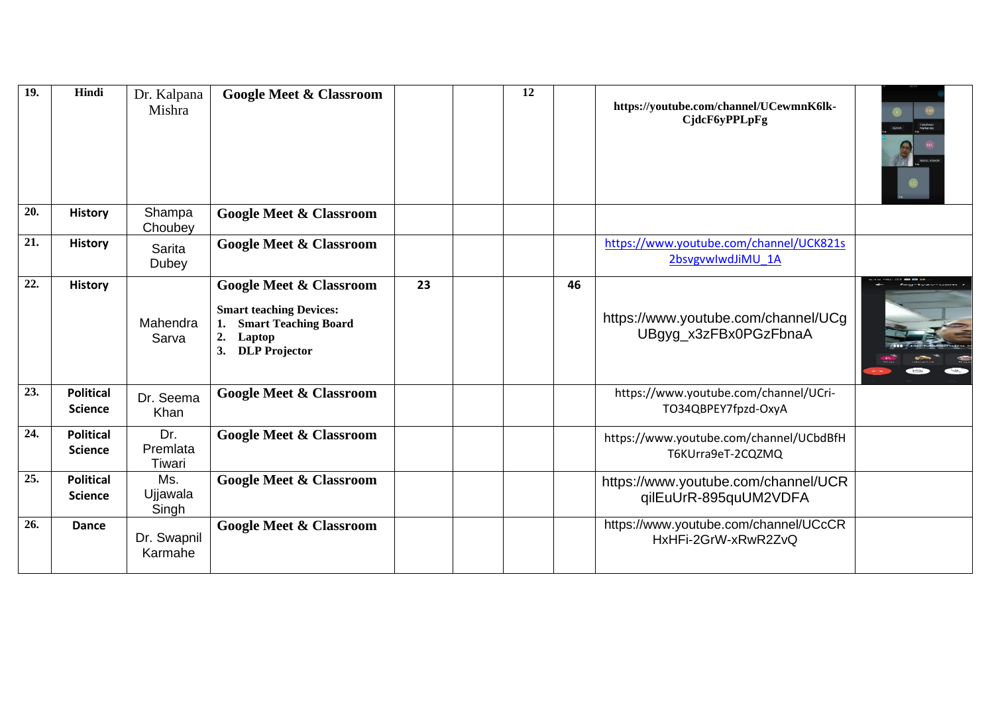| 19. | Hindi                              | Dr. Kalpana<br>Mishra     | <b>Google Meet &amp; Classroom</b>                                                                                                      |    | 12 |    | https://youtube.com/channel/UCewmnK6lk-<br>CjdcF6yPPLpFg     |  |
|-----|------------------------------------|---------------------------|-----------------------------------------------------------------------------------------------------------------------------------------|----|----|----|--------------------------------------------------------------|--|
| 20. | <b>History</b>                     | Shampa<br>Choubey         | <b>Google Meet &amp; Classroom</b>                                                                                                      |    |    |    |                                                              |  |
| 21. | <b>History</b>                     | Sarita<br>Dubey           | <b>Google Meet &amp; Classroom</b>                                                                                                      |    |    |    | https://www.youtube.com/channel/UCK821s<br>2bsvgvwlwdJiMU 1A |  |
| 22. | <b>History</b>                     | Mahendra<br>Sarva         | <b>Google Meet &amp; Classroom</b><br><b>Smart teaching Devices:</b><br><b>Smart Teaching Board</b><br>2.<br>Laptop<br>3. DLP Projector | 23 |    | 46 | https://www.youtube.com/channel/UCg<br>UBgyg_x3zFBx0PGzFbnaA |  |
| 23. | <b>Political</b><br><b>Science</b> | Dr. Seema<br>Khan         | <b>Google Meet &amp; Classroom</b>                                                                                                      |    |    |    | https://www.youtube.com/channel/UCri-<br>TO34QBPEY7fpzd-OxyA |  |
| 24. | <b>Political</b><br><b>Science</b> | Dr.<br>Premlata<br>Tiwari | <b>Google Meet &amp; Classroom</b>                                                                                                      |    |    |    | https://www.youtube.com/channel/UCbdBfH<br>T6KUrra9eT-2CQZMQ |  |
| 25. | <b>Political</b><br><b>Science</b> | Ms.<br>Ujjawala<br>Singh  | <b>Google Meet &amp; Classroom</b>                                                                                                      |    |    |    | https://www.youtube.com/channel/UCR<br>qilEuUrR-895quUM2VDFA |  |
| 26. | <b>Dance</b>                       | Dr. Swapnil<br>Karmahe    | <b>Google Meet &amp; Classroom</b>                                                                                                      |    |    |    | https://www.youtube.com/channel/UCcCR<br>HxHFi-2GrW-xRwR2ZvQ |  |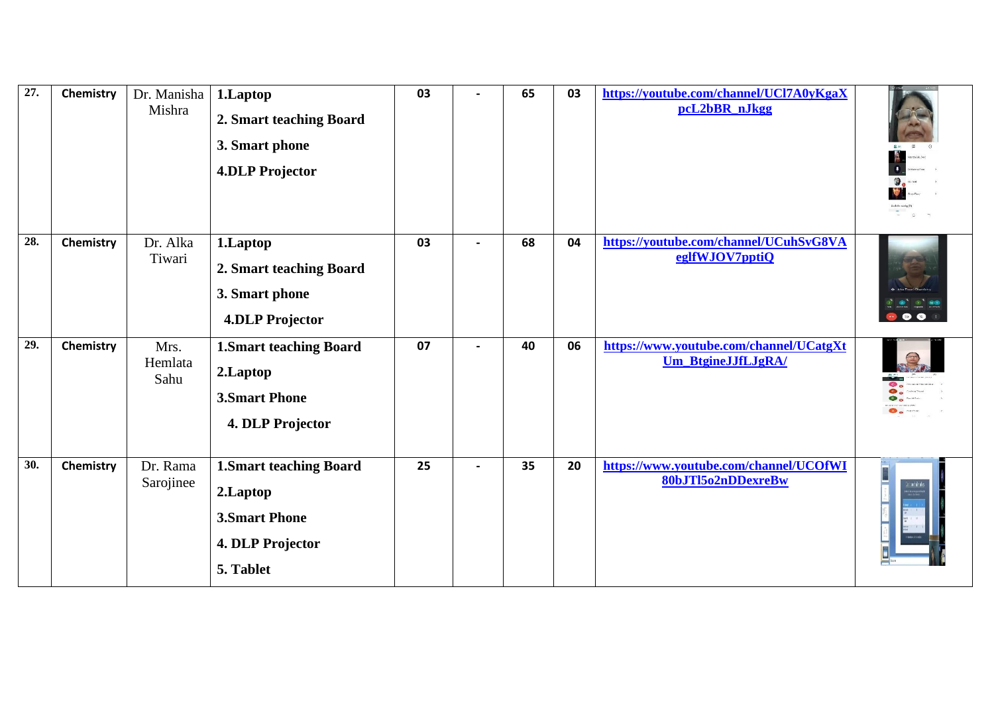| $\overline{27}$ . | Chemistry | Dr. Manisha<br>Mishra   | 1.Laptop<br>2. Smart teaching Board<br>3. Smart phone<br><b>4.DLP Projector</b>                     | 03 | $\blacksquare$    | 65 | 03 | https://youtube.com/channel/UCl7A0yKgaX<br>pcL2bBR_nJkgg      |          |
|-------------------|-----------|-------------------------|-----------------------------------------------------------------------------------------------------|----|-------------------|----|----|---------------------------------------------------------------|----------|
| 28.               | Chemistry | Dr. Alka<br>Tiwari      | 1.Laptop<br>2. Smart teaching Board<br>3. Smart phone<br><b>4.DLP Projector</b>                     | 03 | $\hbox{\small -}$ | 68 | 04 | https://youtube.com/channel/UCuhSvG8VA<br>eglfWJOV7pptiQ      |          |
| 29.               | Chemistry | Mrs.<br>Hemlata<br>Sahu | <b>1.Smart teaching Board</b><br>2.Laptop<br><b>3.Smart Phone</b><br>4. DLP Projector               | 07 | $\blacksquare$    | 40 | 06 | https://www.youtube.com/channel/UCatgXt<br>Um_BtgineJJfLJgRA/ |          |
| 30.               | Chemistry | Dr. Rama<br>Sarojinee   | <b>1.Smart teaching Board</b><br>2.Laptop<br><b>3. Smart Phone</b><br>4. DLP Projector<br>5. Tablet | 25 | $\blacksquare$    | 35 | 20 | https://www.youtube.com/channel/UCOfWI<br>80bJTl5o2nDDexreBw  | in filmi |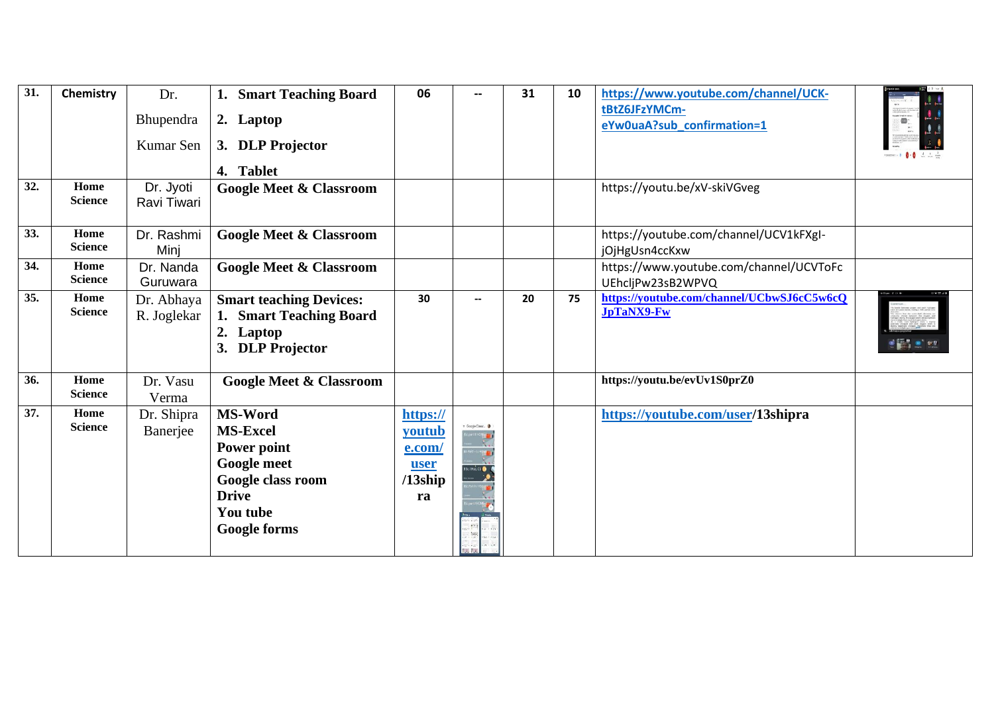| 31. | Chemistry              | Dr.                       | 1. Smart Teaching Board                                                                    | 06       | --               | 31 | 10 | https://www.youtube.com/channel/UCK-                            |                    |
|-----|------------------------|---------------------------|--------------------------------------------------------------------------------------------|----------|------------------|----|----|-----------------------------------------------------------------|--------------------|
|     |                        | Bhupendra                 | 2. Laptop                                                                                  |          |                  |    |    | tBtZ6JFzYMCm-<br>eYw0uaA?sub_confirmation=1                     | ö.                 |
|     |                        | Kumar Sen                 | 3. DLP Projector                                                                           |          |                  |    |    |                                                                 | stember. 1 0-0 소소스 |
|     |                        |                           | 4. Tablet                                                                                  |          |                  |    |    |                                                                 |                    |
| 32. | Home<br><b>Science</b> | Dr. Jyoti<br>Ravi Tiwari  | <b>Google Meet &amp; Classroom</b>                                                         |          |                  |    |    | https://youtu.be/xV-skiVGveg                                    |                    |
| 33. | Home<br><b>Science</b> | Dr. Rashmi<br>Minj        | <b>Google Meet &amp; Classroom</b>                                                         |          |                  |    |    | https://youtube.com/channel/UCV1kFXgI-<br>jOjHgUsn4ccKxw        |                    |
| 34. | Home<br><b>Science</b> | Dr. Nanda<br>Guruwara     | <b>Google Meet &amp; Classroom</b>                                                         |          |                  |    |    | https://www.youtube.com/channel/UCVToFc<br>UEhcljPw23sB2WPVQ    |                    |
| 35. | Home<br><b>Science</b> | Dr. Abhaya<br>R. Joglekar | <b>Smart teaching Devices:</b><br>1. Smart Teaching Board<br>2. Laptop<br>3. DLP Projector | 30       |                  | 20 | 75 | https://youtube.com/channel/UCbwSJ6cC5w6cQ<br><b>JpTaNX9-Fw</b> |                    |
| 36. | Home<br><b>Science</b> | Dr. Vasu<br>Verma         | <b>Google Meet &amp; Classroom</b>                                                         |          |                  |    |    | https://youtu.be/evUv1S0prZ0                                    |                    |
| 37. | Home                   | Dr. Shipra                | <b>MS-Word</b>                                                                             | https:// |                  |    |    | https://youtube.com/user/13shipra                               |                    |
|     | <b>Science</b>         | Banerjee                  | <b>MS-Excel</b>                                                                            | youtub   | Google Classr.   |    |    |                                                                 |                    |
|     |                        |                           | Power point                                                                                | e.com/   |                  |    |    |                                                                 |                    |
|     |                        |                           | <b>Google meet</b>                                                                         | user     | <b>SCI HISCS</b> |    |    |                                                                 |                    |
|     |                        |                           | Google class room                                                                          | 13ship   |                  |    |    |                                                                 |                    |
|     |                        |                           | <b>Drive</b>                                                                               | ra       |                  |    |    |                                                                 |                    |
|     |                        |                           | You tube                                                                                   |          |                  |    |    |                                                                 |                    |
|     |                        |                           | <b>Google forms</b>                                                                        |          |                  |    |    |                                                                 |                    |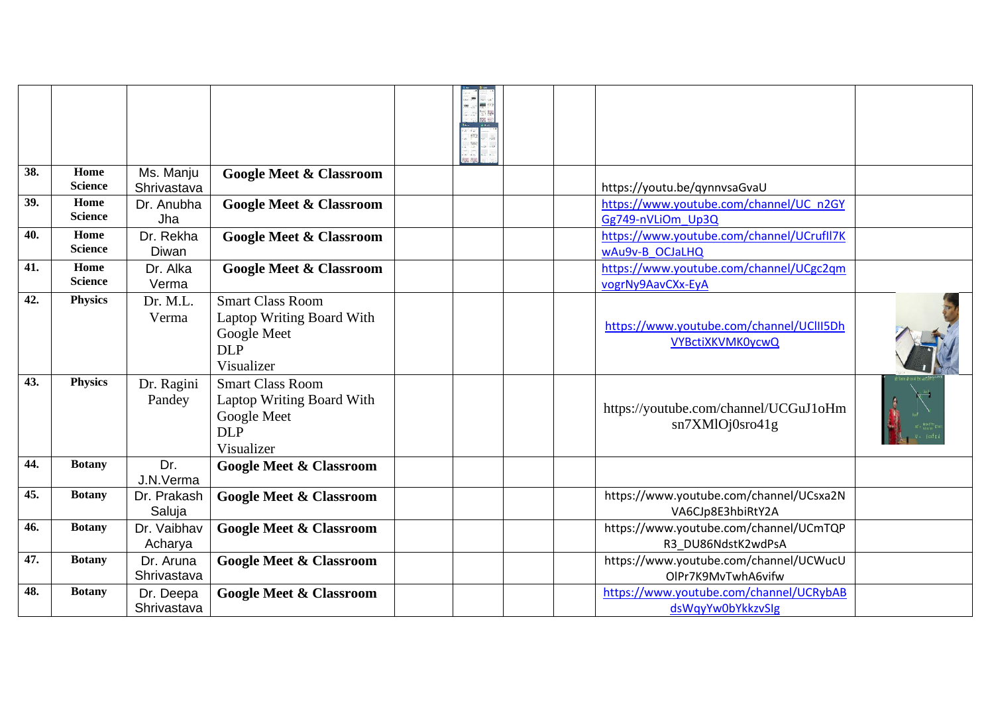| 38. | Home<br><b>Science</b> | Ms. Manju                 | <b>Google Meet &amp; Classroom</b>                                                              |  |                                                                         |  |
|-----|------------------------|---------------------------|-------------------------------------------------------------------------------------------------|--|-------------------------------------------------------------------------|--|
| 39. | Home                   | Shrivastava<br>Dr. Anubha | <b>Google Meet &amp; Classroom</b>                                                              |  | https://youtu.be/qynnvsaGvaU<br>https://www.youtube.com/channel/UC n2GY |  |
|     | <b>Science</b>         | Jha                       |                                                                                                 |  | Gg749-nVLiOm Up3Q                                                       |  |
| 40. | Home<br><b>Science</b> | Dr. Rekha                 | <b>Google Meet &amp; Classroom</b>                                                              |  | https://www.youtube.com/channel/UCrufll7K                               |  |
| 41. | Home                   | Diwan                     |                                                                                                 |  | wAu9v-B OCJaLHQ                                                         |  |
|     | <b>Science</b>         | Dr. Alka<br>Verma         | <b>Google Meet &amp; Classroom</b>                                                              |  | https://www.youtube.com/channel/UCgc2qm<br>vogrNy9AavCXx-EyA            |  |
| 42. | <b>Physics</b>         | Dr. M.L.                  | <b>Smart Class Room</b>                                                                         |  |                                                                         |  |
|     |                        | Verma                     | Laptop Writing Board With<br>Google Meet<br><b>DLP</b><br>Visualizer                            |  | https://www.youtube.com/channel/UClII5Dh<br><b>VYBctiXKVMK0ycwQ</b>     |  |
| 43. | <b>Physics</b>         | Dr. Ragini<br>Pandey      | <b>Smart Class Room</b><br>Laptop Writing Board With<br>Google Meet<br><b>DLP</b><br>Visualizer |  | https://youtube.com/channel/UCGuJ1oHm<br>sn7XMlOj0sro41g                |  |
| 44. | <b>Botany</b>          | Dr.<br>J.N.Verma          | <b>Google Meet &amp; Classroom</b>                                                              |  |                                                                         |  |
| 45. | <b>Botany</b>          | Dr. Prakash<br>Saluja     | <b>Google Meet &amp; Classroom</b>                                                              |  | https://www.youtube.com/channel/UCsxa2N<br>VA6CJp8E3hbiRtY2A            |  |
| 46. | <b>Botany</b>          | Dr. Vaibhav<br>Acharya    | <b>Google Meet &amp; Classroom</b>                                                              |  | https://www.youtube.com/channel/UCmTQP<br>R3 DU86NdstK2wdPsA            |  |
| 47. | <b>Botany</b>          | Dr. Aruna<br>Shrivastava  | <b>Google Meet &amp; Classroom</b>                                                              |  | https://www.youtube.com/channel/UCWucU<br>OlPr7K9MvTwhA6vifw            |  |
| 48. | <b>Botany</b>          | Dr. Deepa<br>Shrivastava  | <b>Google Meet &amp; Classroom</b>                                                              |  | https://www.youtube.com/channel/UCRybAB<br>dsWqyYw0bYkkzvSIg            |  |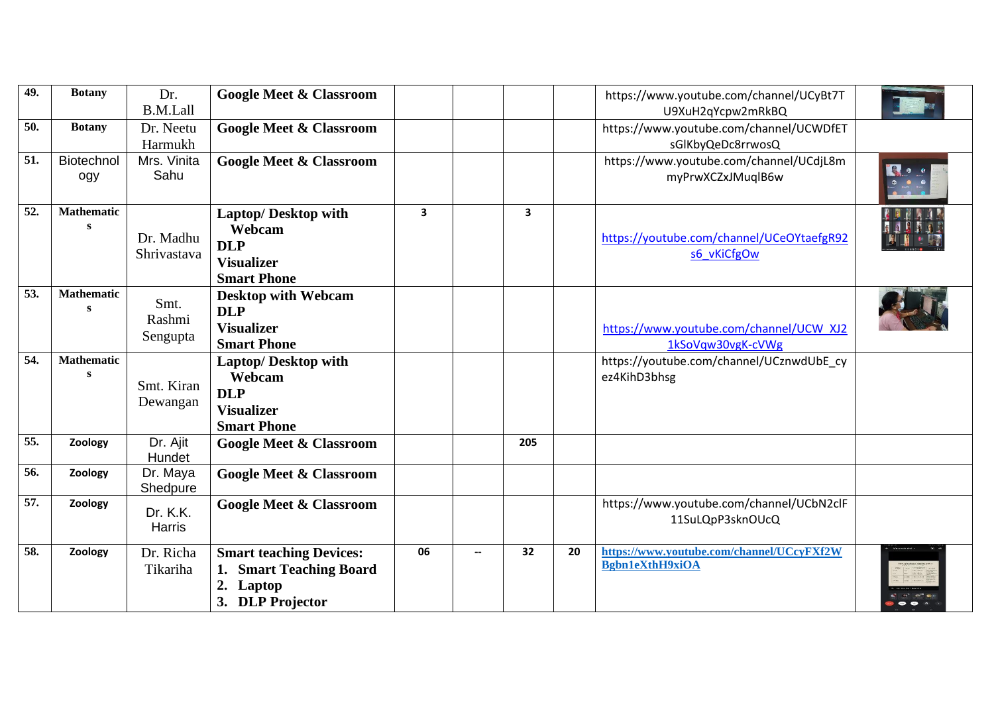| 49. | <b>Botany</b>                     | Dr.<br><b>B.M.Lall</b>     | <b>Google Meet &amp; Classroom</b>                                                                |              |                          |              |    | https://www.youtube.com/channel/UCyBt7T<br>U9XuH2qYcpw2mRkBQ        |  |
|-----|-----------------------------------|----------------------------|---------------------------------------------------------------------------------------------------|--------------|--------------------------|--------------|----|---------------------------------------------------------------------|--|
| 50. | <b>Botany</b>                     | Dr. Neetu<br>Harmukh       | <b>Google Meet &amp; Classroom</b>                                                                |              |                          |              |    | https://www.youtube.com/channel/UCWDfET<br>sGlKbyQeDc8rrwosQ        |  |
| 51. | Biotechnol<br>ogy                 | Mrs. Vinita<br>Sahu        | <b>Google Meet &amp; Classroom</b>                                                                |              |                          |              |    | https://www.youtube.com/channel/UCdjL8m<br>myPrwXCZxJMuqlB6w        |  |
| 52. | <b>Mathematic</b><br>$\mathbf{s}$ | Dr. Madhu<br>Shrivastava   | <b>Laptop/Desktop with</b><br>Webcam<br><b>DLP</b><br><b>Visualizer</b><br><b>Smart Phone</b>     | $\mathbf{3}$ |                          | $\mathbf{3}$ |    | https://youtube.com/channel/UCeOYtaefgR92<br>s6 vKiCfgOw            |  |
| 53. | <b>Mathematic</b><br>S            | Smt.<br>Rashmi<br>Sengupta | <b>Desktop with Webcam</b><br><b>DLP</b><br><b>Visualizer</b><br><b>Smart Phone</b>               |              |                          |              |    | https://www.youtube.com/channel/UCW XJ2<br>1kSoVqw30vgK-cVWg        |  |
| 54. | <b>Mathematic</b><br><b>S</b>     | Smt. Kiran<br>Dewangan     | <b>Laptop/Desktop with</b><br>Webcam<br><b>DLP</b><br><b>Visualizer</b><br><b>Smart Phone</b>     |              |                          |              |    | https://youtube.com/channel/UCznwdUbE_cy<br>ez4KihD3bhsg            |  |
| 55. | Zoology                           | Dr. Ajit<br>Hundet         | <b>Google Meet &amp; Classroom</b>                                                                |              |                          | 205          |    |                                                                     |  |
| 56. | Zoology                           | Dr. Maya<br>Shedpure       | <b>Google Meet &amp; Classroom</b>                                                                |              |                          |              |    |                                                                     |  |
| 57. | Zoology                           | Dr. K.K.<br>Harris         | <b>Google Meet &amp; Classroom</b>                                                                |              |                          |              |    | https://www.youtube.com/channel/UCbN2clF<br>11SuLQpP3sknOUcQ        |  |
| 58. | Zoology                           | Dr. Richa<br>Tikariha      | <b>Smart teaching Devices:</b><br><b>Smart Teaching Board</b><br>1.<br>Laptop<br>3. DLP Projector | 06           | $\overline{\phantom{a}}$ | 32           | 20 | https://www.youtube.com/channel/UCcyFXf2W<br><b>Bgbn1eXthH9xiOA</b> |  |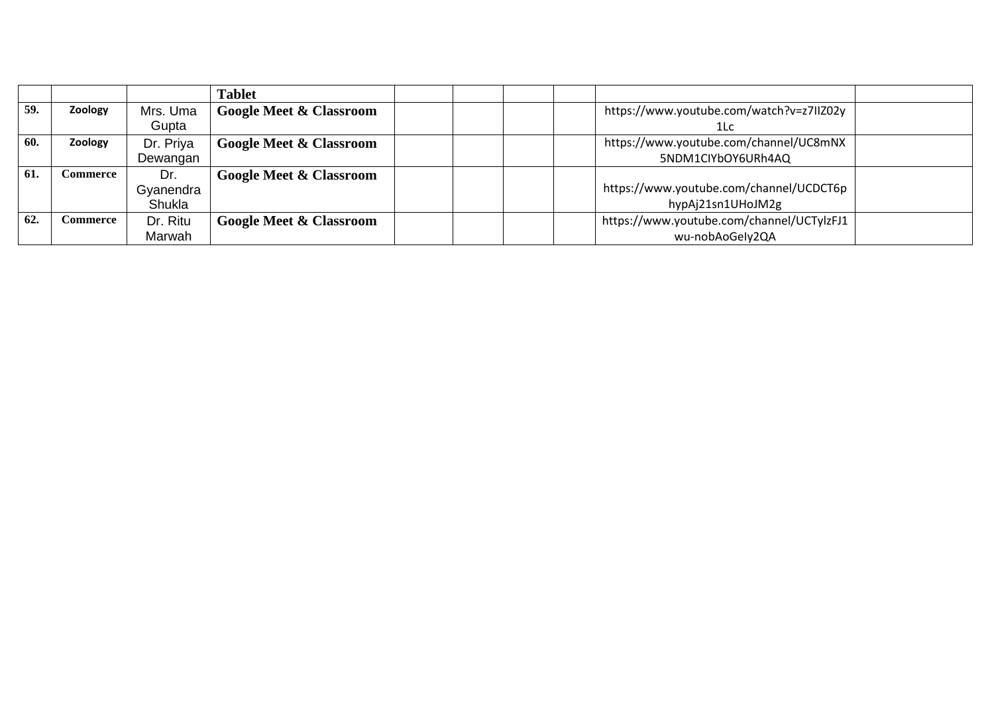|     |          |           | <b>Tablet</b>                      |                                           |
|-----|----------|-----------|------------------------------------|-------------------------------------------|
| 59. | Zoology  | Mrs. Uma  | <b>Google Meet &amp; Classroom</b> | https://www.youtube.com/watch?v=z7IIZ02y  |
|     |          | Gupta     |                                    | 1Lc                                       |
| 60. | Zoology  | Dr. Priya | <b>Google Meet &amp; Classroom</b> | https://www.youtube.com/channel/UC8mNX    |
|     |          | Dewangan  |                                    | 5NDM1CIYbOY6URh4AQ                        |
| 61. | Commerce | Dr.       | <b>Google Meet &amp; Classroom</b> |                                           |
|     |          | Gyanendra |                                    | https://www.youtube.com/channel/UCDCT6p   |
|     |          | Shukla    |                                    | hypAj21sn1UHoJM2g                         |
| 62. | Commerce | Dr. Ritu  | <b>Google Meet &amp; Classroom</b> | https://www.youtube.com/channel/UCTylzFJ1 |
|     |          | Marwah    |                                    | wu-nobAoGely2QA                           |